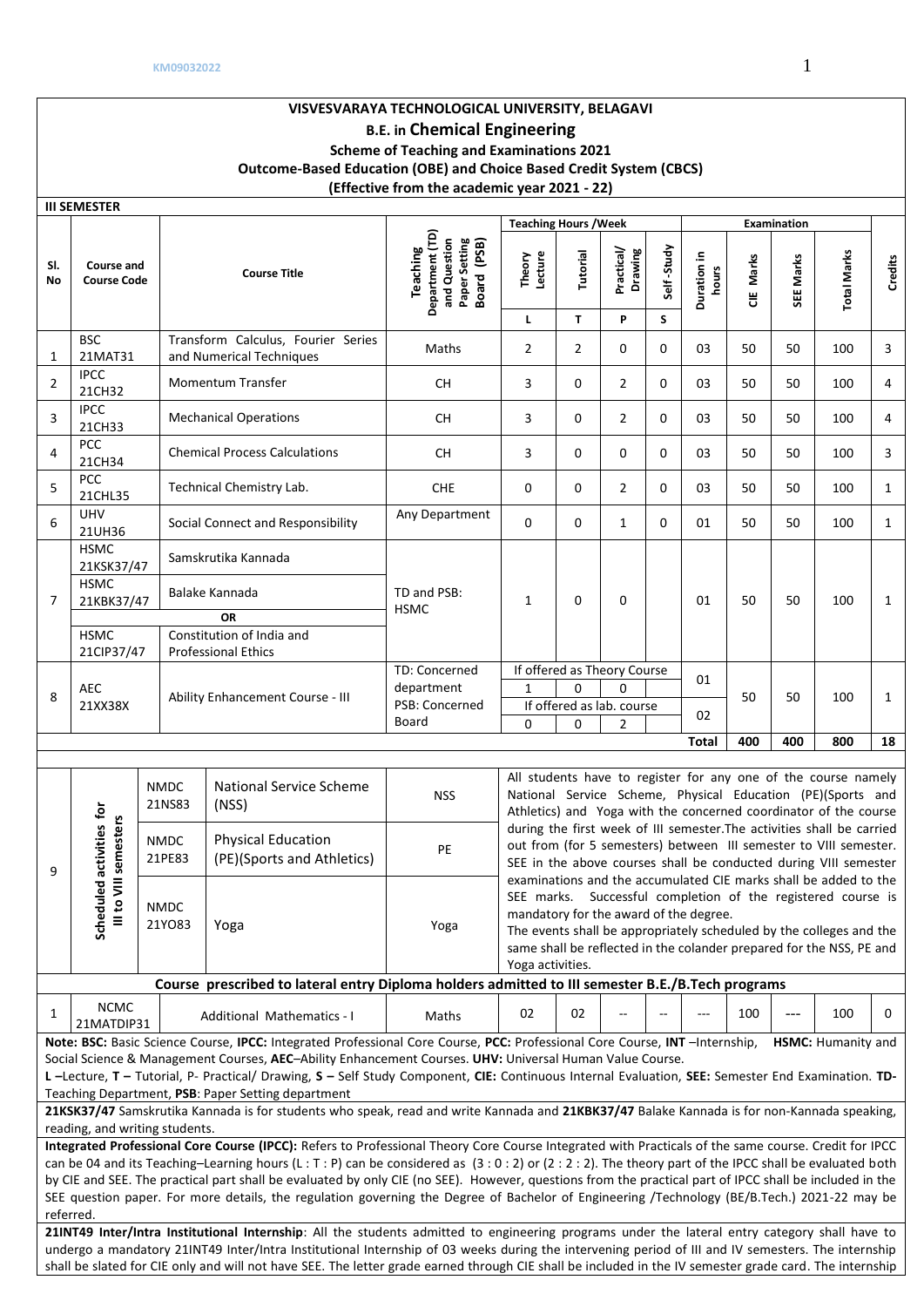|           |                                                                                                                                                                                                                                                                                                                                                                                                                                                                                                                                                                                                                            |  |                                                | (Effective from the academic year 2021 - 22)                                                                                                                                                                                                                                                                                                                                                                                                                |                                                                                    |                                                                                                                                                                                                                                                                                                                                               |                |                            |                  |                      |              |                                 |                                                                                                                                                                                                                                                                                                                                                                                                                      |              |
|-----------|----------------------------------------------------------------------------------------------------------------------------------------------------------------------------------------------------------------------------------------------------------------------------------------------------------------------------------------------------------------------------------------------------------------------------------------------------------------------------------------------------------------------------------------------------------------------------------------------------------------------------|--|------------------------------------------------|-------------------------------------------------------------------------------------------------------------------------------------------------------------------------------------------------------------------------------------------------------------------------------------------------------------------------------------------------------------------------------------------------------------------------------------------------------------|------------------------------------------------------------------------------------|-----------------------------------------------------------------------------------------------------------------------------------------------------------------------------------------------------------------------------------------------------------------------------------------------------------------------------------------------|----------------|----------------------------|------------------|----------------------|--------------|---------------------------------|----------------------------------------------------------------------------------------------------------------------------------------------------------------------------------------------------------------------------------------------------------------------------------------------------------------------------------------------------------------------------------------------------------------------|--------------|
|           | <b>III SEMESTER</b>                                                                                                                                                                                                                                                                                                                                                                                                                                                                                                                                                                                                        |  |                                                |                                                                                                                                                                                                                                                                                                                                                                                                                                                             |                                                                                    |                                                                                                                                                                                                                                                                                                                                               |                |                            |                  |                      |              |                                 |                                                                                                                                                                                                                                                                                                                                                                                                                      |              |
| SI.<br>No | Course and<br><b>Course Code</b>                                                                                                                                                                                                                                                                                                                                                                                                                                                                                                                                                                                           |  |                                                | <b>Course Title</b>                                                                                                                                                                                                                                                                                                                                                                                                                                         | Department (TD)<br>and Question<br>Paper Setting<br>Board (PSB)<br><b>Teaching</b> | <b>Teaching Hours / Week</b><br>Theory<br>Lecture<br>L                                                                                                                                                                                                                                                                                        | Tutorial<br>T  | Practical/<br>Drawing<br>P | Self-Study<br>S. | Duration in<br>hours | Marks<br>ă   | <b>Examination</b><br>SEE Marks | <b>Total Marks</b>                                                                                                                                                                                                                                                                                                                                                                                                   | Credits      |
| 1         | <b>BSC</b><br>21MAT31                                                                                                                                                                                                                                                                                                                                                                                                                                                                                                                                                                                                      |  |                                                | Transform Calculus, Fourier Series<br>and Numerical Techniques                                                                                                                                                                                                                                                                                                                                                                                              | Maths                                                                              | $\overline{2}$                                                                                                                                                                                                                                                                                                                                | $\overline{2}$ | $\mathbf 0$                | $\mathbf{0}$     | 03                   | 50           | 50                              | 100                                                                                                                                                                                                                                                                                                                                                                                                                  | 3            |
| 2         | <b>IPCC</b><br>21CH32                                                                                                                                                                                                                                                                                                                                                                                                                                                                                                                                                                                                      |  |                                                | <b>Momentum Transfer</b>                                                                                                                                                                                                                                                                                                                                                                                                                                    | СH                                                                                 | 3                                                                                                                                                                                                                                                                                                                                             | 0              | 2                          | 0                | 03                   | 50           | 50                              | 100                                                                                                                                                                                                                                                                                                                                                                                                                  | 4            |
| 3         | <b>IPCC</b><br>21CH33                                                                                                                                                                                                                                                                                                                                                                                                                                                                                                                                                                                                      |  |                                                | <b>Mechanical Operations</b>                                                                                                                                                                                                                                                                                                                                                                                                                                | CH.                                                                                | 3                                                                                                                                                                                                                                                                                                                                             | 0              | $\overline{2}$             | 0                | 03                   | 50           | 50                              | 100                                                                                                                                                                                                                                                                                                                                                                                                                  | 4            |
| 4         | PCC<br>21CH34                                                                                                                                                                                                                                                                                                                                                                                                                                                                                                                                                                                                              |  |                                                | <b>Chemical Process Calculations</b>                                                                                                                                                                                                                                                                                                                                                                                                                        | <b>CH</b>                                                                          | 3                                                                                                                                                                                                                                                                                                                                             | 0              | $\mathbf 0$                | 0                | 03                   | 50           | 50                              | 100                                                                                                                                                                                                                                                                                                                                                                                                                  | 3            |
| 5         | <b>PCC</b><br>21CHL35                                                                                                                                                                                                                                                                                                                                                                                                                                                                                                                                                                                                      |  |                                                | Technical Chemistry Lab.                                                                                                                                                                                                                                                                                                                                                                                                                                    | <b>CHE</b>                                                                         | 0                                                                                                                                                                                                                                                                                                                                             | $\mathbf 0$    | $\overline{2}$             | $\mathbf{0}$     | 03                   | 50           | 50                              | 100                                                                                                                                                                                                                                                                                                                                                                                                                  | $\mathbf{1}$ |
| 6         | <b>UHV</b><br>21UH36                                                                                                                                                                                                                                                                                                                                                                                                                                                                                                                                                                                                       |  |                                                | Social Connect and Responsibility                                                                                                                                                                                                                                                                                                                                                                                                                           | Any Department                                                                     | 0                                                                                                                                                                                                                                                                                                                                             | 0              | $\mathbf{1}$               | 0                | 01                   | 50           | 50                              | 100                                                                                                                                                                                                                                                                                                                                                                                                                  | $\mathbf{1}$ |
| 7         | <b>HSMC</b><br>21KSK37/47<br><b>HSMC</b><br>21KBK37/47<br><b>HSMC</b><br>21CIP37/47                                                                                                                                                                                                                                                                                                                                                                                                                                                                                                                                        |  |                                                | Samskrutika Kannada<br>Balake Kannada<br>OR<br>Constitution of India and<br><b>Professional Ethics</b>                                                                                                                                                                                                                                                                                                                                                      | TD and PSB:<br><b>HSMC</b>                                                         | $\mathbf{1}$                                                                                                                                                                                                                                                                                                                                  | 0              | $\mathbf 0$                |                  | 01                   | 50           | 50                              | 100                                                                                                                                                                                                                                                                                                                                                                                                                  | $\mathbf{1}$ |
| 8         | AEC<br>21XX38X                                                                                                                                                                                                                                                                                                                                                                                                                                                                                                                                                                                                             |  |                                                | Ability Enhancement Course - III                                                                                                                                                                                                                                                                                                                                                                                                                            | TD: Concerned<br>department<br>PSB: Concerned<br>Board                             | If offered as Theory Course<br>01<br>1<br>0<br>$\Omega$<br>50<br>50<br>100<br>If offered as lab. course<br>02<br>$\mathbf 0$<br>$\mathbf 0$<br>2                                                                                                                                                                                              |                |                            |                  |                      | $\mathbf{1}$ |                                 |                                                                                                                                                                                                                                                                                                                                                                                                                      |              |
|           |                                                                                                                                                                                                                                                                                                                                                                                                                                                                                                                                                                                                                            |  |                                                |                                                                                                                                                                                                                                                                                                                                                                                                                                                             |                                                                                    |                                                                                                                                                                                                                                                                                                                                               |                |                            |                  | <b>Total</b>         | 400          | 400                             | 800                                                                                                                                                                                                                                                                                                                                                                                                                  | 18           |
| 9         | activities for<br>semesters                                                                                                                                                                                                                                                                                                                                                                                                                                                                                                                                                                                                |  | <b>NMDC</b><br>21NS83<br><b>NMDC</b><br>21PE83 | <b>National Service Scheme</b><br>(NSS)<br><b>Physical Education</b><br>(PE)(Sports and Athletics)                                                                                                                                                                                                                                                                                                                                                          | <b>NSS</b><br>PE                                                                   |                                                                                                                                                                                                                                                                                                                                               |                |                            |                  |                      |              |                                 | All students have to register for any one of the course namely<br>National Service Scheme, Physical Education (PE)(Sports and<br>Athletics) and Yoga with the concerned coordinator of the course<br>during the first week of III semester. The activities shall be carried<br>out from (for 5 semesters) between III semester to VIII semester.<br>SEE in the above courses shall be conducted during VIII semester |              |
|           | Scheduled<br>Ill to VIII                                                                                                                                                                                                                                                                                                                                                                                                                                                                                                                                                                                                   |  | <b>NMDC</b><br>21YO83                          | Yoga                                                                                                                                                                                                                                                                                                                                                                                                                                                        | Yoga                                                                               | examinations and the accumulated CIE marks shall be added to the<br>SEE marks. Successful completion of the registered course is<br>mandatory for the award of the degree.<br>The events shall be appropriately scheduled by the colleges and the<br>same shall be reflected in the colander prepared for the NSS, PE and<br>Yoga activities. |                |                            |                  |                      |              |                                 |                                                                                                                                                                                                                                                                                                                                                                                                                      |              |
|           |                                                                                                                                                                                                                                                                                                                                                                                                                                                                                                                                                                                                                            |  |                                                | Course prescribed to lateral entry Diploma holders admitted to III semester B.E./B.Tech programs                                                                                                                                                                                                                                                                                                                                                            |                                                                                    |                                                                                                                                                                                                                                                                                                                                               |                |                            |                  |                      |              |                                 |                                                                                                                                                                                                                                                                                                                                                                                                                      |              |
| 1         | <b>NCMC</b><br>21MATDIP31                                                                                                                                                                                                                                                                                                                                                                                                                                                                                                                                                                                                  |  |                                                | <b>Additional Mathematics - I</b>                                                                                                                                                                                                                                                                                                                                                                                                                           | Maths                                                                              | 02                                                                                                                                                                                                                                                                                                                                            | 02             |                            |                  |                      | 100          | ---                             | 100                                                                                                                                                                                                                                                                                                                                                                                                                  | 0            |
|           | Note: BSC: Basic Science Course, IPCC: Integrated Professional Core Course, PCC: Professional Core Course, INT -Internship,<br><b>HSMC: Humanity and</b><br>Social Science & Management Courses, AEC-Ability Enhancement Courses. UHV: Universal Human Value Course.<br>L-Lecture, T-Tutorial, P- Practical/ Drawing, S-Self Study Component, CIE: Continuous Internal Evaluation, SEE: Semester End Examination. TD-<br>Teaching Department, PSB: Paper Setting department<br>21KSK37/47 Samskrutika Kannada is for students who speak, read and write Kannada and 21KBK37/47 Balake Kannada is for non-Kannada speaking, |  |                                                |                                                                                                                                                                                                                                                                                                                                                                                                                                                             |                                                                                    |                                                                                                                                                                                                                                                                                                                                               |                |                            |                  |                      |              |                                 |                                                                                                                                                                                                                                                                                                                                                                                                                      |              |
|           | reading, and writing students.                                                                                                                                                                                                                                                                                                                                                                                                                                                                                                                                                                                             |  |                                                | Integrated Professional Core Course (IPCC): Refers to Professional Theory Core Course Integrated with Practicals of the same course. Credit for IPCC                                                                                                                                                                                                                                                                                                        |                                                                                    |                                                                                                                                                                                                                                                                                                                                               |                |                            |                  |                      |              |                                 |                                                                                                                                                                                                                                                                                                                                                                                                                      |              |
| referred. |                                                                                                                                                                                                                                                                                                                                                                                                                                                                                                                                                                                                                            |  |                                                | can be 04 and its Teaching-Learning hours (L: T: P) can be considered as (3:0:2) or (2:2:2). The theory part of the IPCC shall be evaluated both<br>by CIE and SEE. The practical part shall be evaluated by only CIE (no SEE). However, questions from the practical part of IPCC shall be included in the<br>SEE question paper. For more details, the regulation governing the Degree of Bachelor of Engineering /Technology (BE/B.Tech.) 2021-22 may be |                                                                                    |                                                                                                                                                                                                                                                                                                                                               |                |                            |                  |                      |              |                                 |                                                                                                                                                                                                                                                                                                                                                                                                                      |              |
|           |                                                                                                                                                                                                                                                                                                                                                                                                                                                                                                                                                                                                                            |  |                                                | 21INT49 Inter/Intra Institutional Internship: All the students admitted to engineering programs under the lateral entry category shall have to                                                                                                                                                                                                                                                                                                              |                                                                                    |                                                                                                                                                                                                                                                                                                                                               |                |                            |                  |                      |              |                                 |                                                                                                                                                                                                                                                                                                                                                                                                                      |              |

undergo a mandatory 21INT49 Inter/Intra Institutional Internship of 03 weeks during the intervening period of III and IV semesters. The internship shall be slated for CIE only and will not have SEE. The letter grade earned through CIE shall be included in the IV semester grade card. The internship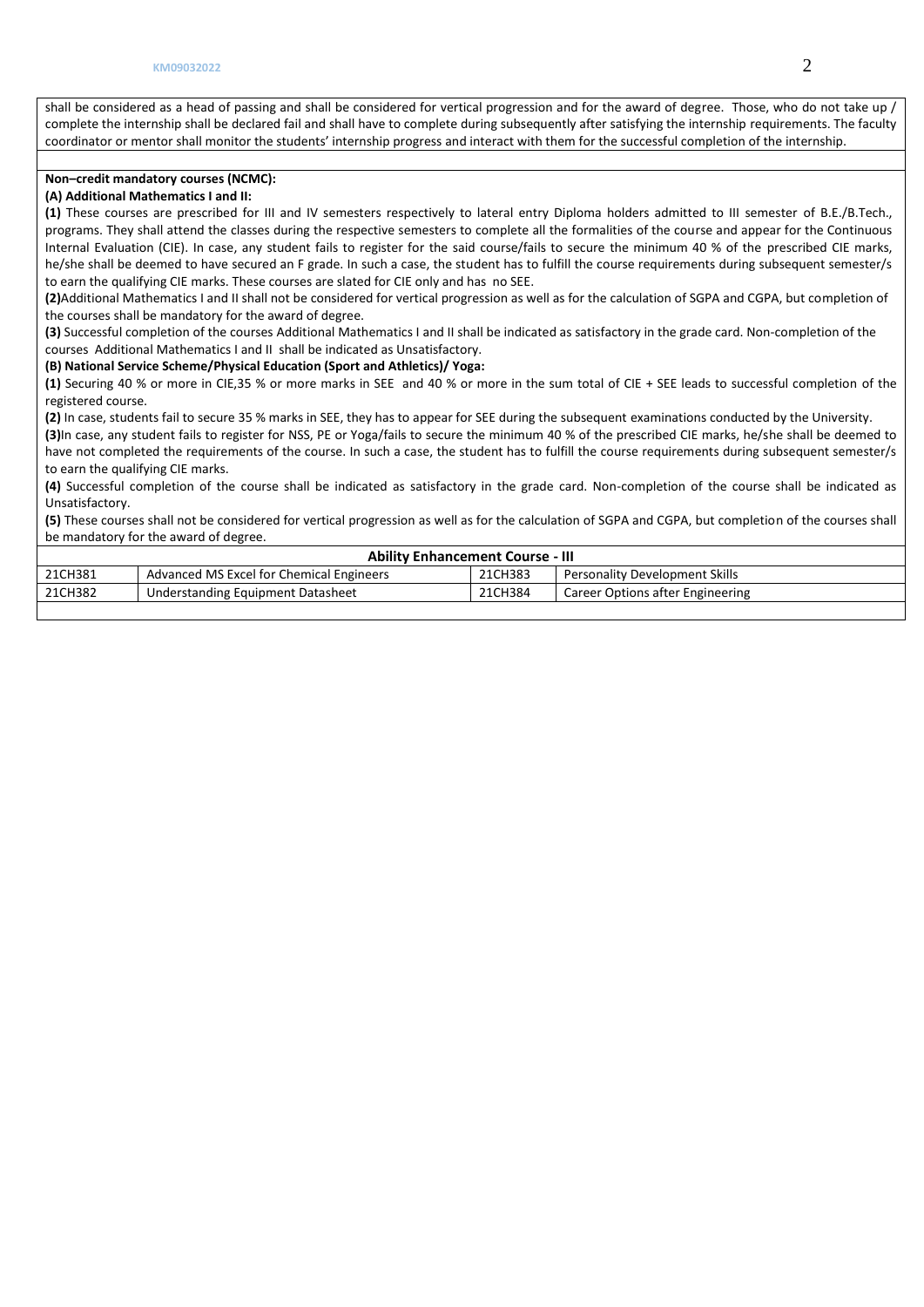shall be considered as a head of passing and shall be considered for vertical progression and for the award of degree. Those, who do not take up / complete the internship shall be declared fail and shall have to complete during subsequently after satisfying the internship requirements. The faculty coordinator or mentor shall monitor the students' internship progress and interact with them for the successful completion of the internship.

## **Non–credit mandatory courses (NCMC):**

# **(A) Additional Mathematics I and II:**

**(1)** These courses are prescribed for III and IV semesters respectively to lateral entry Diploma holders admitted to III semester of B.E./B.Tech., programs. They shall attend the classes during the respective semesters to complete all the formalities of the course and appear for the Continuous Internal Evaluation (CIE). In case, any student fails to register for the said course/fails to secure the minimum 40 % of the prescribed CIE marks, he/she shall be deemed to have secured an F grade. In such a case, the student has to fulfill the course requirements during subsequent semester/s to earn the qualifying CIE marks. These courses are slated for CIE only and has no SEE.

**(2)**Additional Mathematics I and II shall not be considered for vertical progression as well as for the calculation of SGPA and CGPA, but completion of the courses shall be mandatory for the award of degree.

**(3)** Successful completion of the courses Additional Mathematics I and II shall be indicated as satisfactory in the grade card. Non-completion of the courses Additional Mathematics I and II shall be indicated as Unsatisfactory.

## **(B) National Service Scheme/Physical Education (Sport and Athletics)/ Yoga:**

**(1)** Securing 40 % or more in CIE,35 % or more marks in SEE and 40 % or more in the sum total of CIE + SEE leads to successful completion of the registered course.

**(2)** In case, students fail to secure 35 % marks in SEE, they has to appear for SEE during the subsequent examinations conducted by the University.

**(3)**In case, any student fails to register for NSS, PE or Yoga/fails to secure the minimum 40 % of the prescribed CIE marks, he/she shall be deemed to have not completed the requirements of the course. In such a case, the student has to fulfill the course requirements during subsequent semester/s to earn the qualifying CIE marks.

**(4)** Successful completion of the course shall be indicated as satisfactory in the grade card. Non-completion of the course shall be indicated as Unsatisfactory.

**(5)** These courses shall not be considered for vertical progression as well as for the calculation of SGPA and CGPA, but completion of the courses shall be mandatory for the award of degree.

|         | <b>Ability Enhancement Course - III</b>  |         |                                       |  |  |  |  |  |  |  |  |
|---------|------------------------------------------|---------|---------------------------------------|--|--|--|--|--|--|--|--|
| 21CH381 | Advanced MS Excel for Chemical Engineers | 21CH383 | <b>Personality Development Skills</b> |  |  |  |  |  |  |  |  |
| 21CH382 | Understanding Equipment Datasheet        | 21CH384 | Career Options after Engineering      |  |  |  |  |  |  |  |  |
|         |                                          |         |                                       |  |  |  |  |  |  |  |  |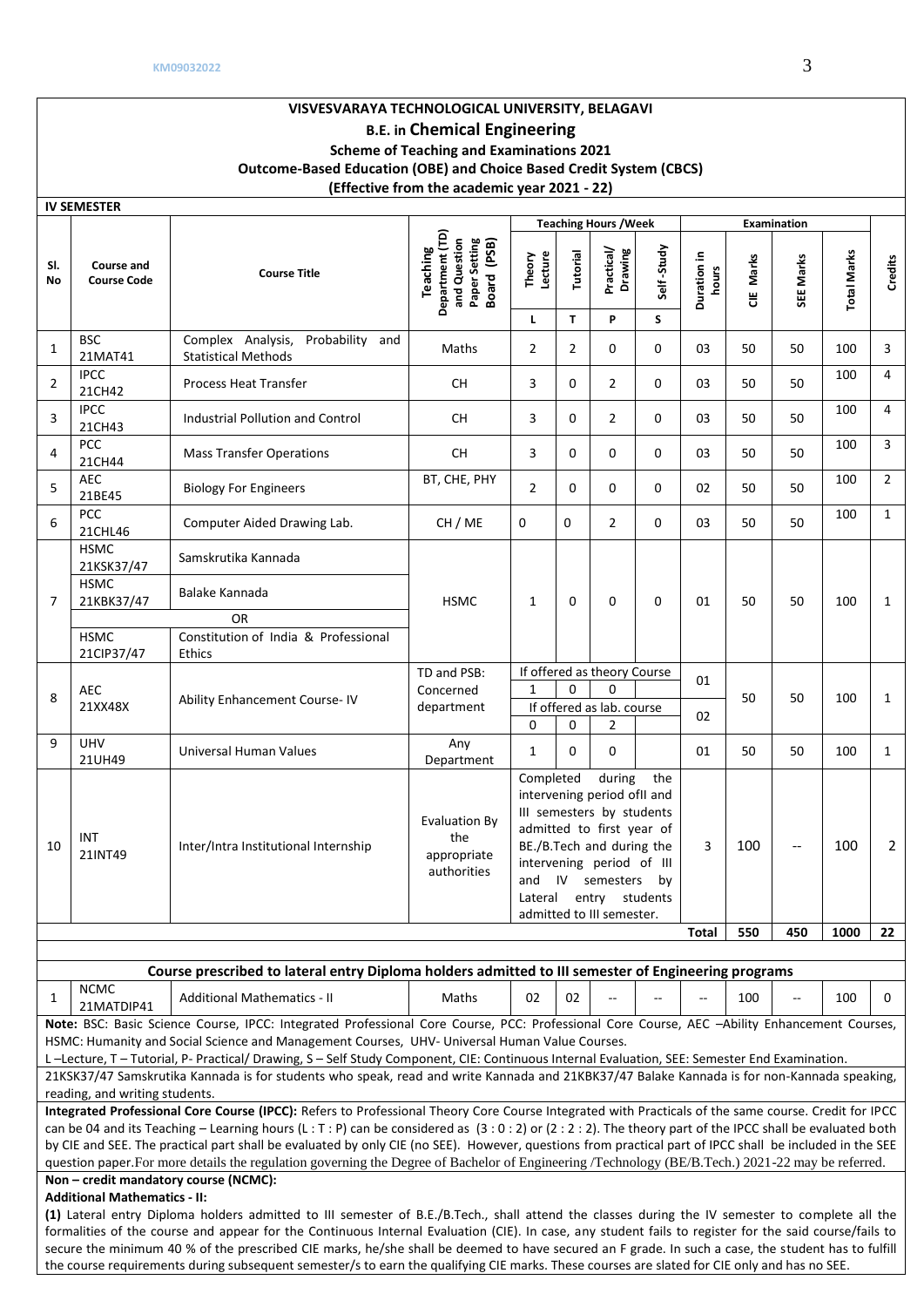|                |                                         |                                                                                                                                                                                                                                                                                                                                                                                          | (Effective from the academic year 2021 - 22)                                |                        |                          |                                                                                                                                                                                                                              |                  |                      |           |                                       |                    |                |
|----------------|-----------------------------------------|------------------------------------------------------------------------------------------------------------------------------------------------------------------------------------------------------------------------------------------------------------------------------------------------------------------------------------------------------------------------------------------|-----------------------------------------------------------------------------|------------------------|--------------------------|------------------------------------------------------------------------------------------------------------------------------------------------------------------------------------------------------------------------------|------------------|----------------------|-----------|---------------------------------------|--------------------|----------------|
|                | <b>IV SEMESTER</b>                      |                                                                                                                                                                                                                                                                                                                                                                                          |                                                                             |                        |                          |                                                                                                                                                                                                                              |                  |                      |           |                                       |                    |                |
| SI.<br>No      | <b>Course and</b><br><b>Course Code</b> | <b>Course Title</b>                                                                                                                                                                                                                                                                                                                                                                      | Department (TD)<br>and Question<br>Paper Setting<br>Board (PSB)<br>Teaching | Lecture<br>Theory<br>L | Tutorial<br>$\mathbf{T}$ | <b>Teaching Hours / Week</b><br>Practical/<br>Drawing<br>P                                                                                                                                                                   | Self-Study<br>S. | Duration in<br>hours | CIE Marks | Examination<br>SEE Marks              | <b>Total Marks</b> | Credits        |
| 1              | <b>BSC</b><br>21MAT41                   | Complex Analysis,<br>Probability and<br><b>Statistical Methods</b>                                                                                                                                                                                                                                                                                                                       | Maths                                                                       | $\overline{2}$         | $\overline{2}$           | 0                                                                                                                                                                                                                            | 0                | 03                   | 50        | 50                                    | 100                | 3              |
| 2              | <b>IPCC</b><br>21CH42                   | Process Heat Transfer                                                                                                                                                                                                                                                                                                                                                                    | СH                                                                          | 3                      | $\mathbf{0}$             | $\overline{2}$                                                                                                                                                                                                               | 0                | 03                   | 50        | 50                                    | 100                | $\overline{4}$ |
| 3              | <b>IPCC</b><br>21CH43                   | Industrial Pollution and Control                                                                                                                                                                                                                                                                                                                                                         | СH                                                                          | 3                      | $\mathbf 0$              | $\overline{2}$                                                                                                                                                                                                               | 0                | 03                   | 50        | 50                                    | 100                | 4              |
| 4              | PCC<br>21CH44                           | <b>Mass Transfer Operations</b>                                                                                                                                                                                                                                                                                                                                                          | <b>CH</b>                                                                   | 3                      | $\mathbf{0}$             | $\mathbf 0$                                                                                                                                                                                                                  | 0                | 03                   | 50        | 50                                    | 100                | $\overline{3}$ |
| 5              | <b>AEC</b><br>21BE45                    | <b>Biology For Engineers</b>                                                                                                                                                                                                                                                                                                                                                             | BT, CHE, PHY                                                                | $\overline{2}$         | 0                        | 0                                                                                                                                                                                                                            | 0                | 02                   | 50        | 50                                    | 100                | $\overline{2}$ |
| 6              | PCC<br>21CHL46                          | Computer Aided Drawing Lab.                                                                                                                                                                                                                                                                                                                                                              | CH / ME                                                                     | 0                      | $\Omega$                 | $\overline{2}$                                                                                                                                                                                                               | 0                | 03                   | 50        | 50                                    | 100                | $\mathbf{1}$   |
|                | <b>HSMC</b><br>21KSK37/47               | Samskrutika Kannada                                                                                                                                                                                                                                                                                                                                                                      |                                                                             |                        |                          |                                                                                                                                                                                                                              |                  |                      |           |                                       |                    |                |
| $\overline{7}$ | <b>HSMC</b><br>21KBK37/47               | Balake Kannada                                                                                                                                                                                                                                                                                                                                                                           | <b>HSMC</b>                                                                 | 1                      | $\mathbf 0$              | $\Omega$                                                                                                                                                                                                                     | 0                | 01                   | 50        | 50                                    | 100                | $\mathbf{1}$   |
|                |                                         | OR                                                                                                                                                                                                                                                                                                                                                                                       |                                                                             |                        |                          |                                                                                                                                                                                                                              |                  |                      |           |                                       |                    |                |
|                | <b>HSMC</b><br>21CIP37/47               | Constitution of India & Professional<br><b>Ethics</b>                                                                                                                                                                                                                                                                                                                                    |                                                                             |                        |                          |                                                                                                                                                                                                                              |                  |                      |           |                                       |                    |                |
| 8              | AEC<br>21XX48X                          | Ability Enhancement Course-IV                                                                                                                                                                                                                                                                                                                                                            | TD and PSB:<br>Concerned<br>department                                      | $\mathbf{1}$           | $\Omega$                 | If offered as theory Course<br>$\Omega$<br>If offered as lab. course                                                                                                                                                         |                  | 01<br>02             | 50        | 50                                    | 100                | $\mathbf{1}$   |
|                |                                         |                                                                                                                                                                                                                                                                                                                                                                                          |                                                                             | $\mathbf 0$            | $\mathbf 0$              | 2                                                                                                                                                                                                                            |                  |                      |           |                                       |                    |                |
| 9              | <b>UHV</b><br>21UH49                    | Universal Human Values                                                                                                                                                                                                                                                                                                                                                                   | Any<br>Department                                                           | $\mathbf{1}$           | 0                        | $\mathbf 0$                                                                                                                                                                                                                  |                  | 01                   | 50        | 50                                    | 100                | $\mathbf{1}$   |
| 10             | INT<br>21INT49                          | Inter/Intra Institutional Internship                                                                                                                                                                                                                                                                                                                                                     | <b>Evaluation By</b><br>the<br>appropriate<br>authorities                   | Completed<br>Lateral   |                          | during<br>intervening period ofII and<br>III semesters by students<br>admitted to first year of<br>BE./B.Tech and during the<br>intervening period of III<br>and IV semesters<br>entry students<br>admitted to III semester. | the<br>by        | 3                    | 100       | $\hspace{0.05cm}$ – $\hspace{0.05cm}$ | 100                | 2              |
|                |                                         |                                                                                                                                                                                                                                                                                                                                                                                          |                                                                             |                        |                          |                                                                                                                                                                                                                              |                  | Total                | 550       | 450                                   | 1000               | 22             |
|                |                                         |                                                                                                                                                                                                                                                                                                                                                                                          |                                                                             |                        |                          |                                                                                                                                                                                                                              |                  |                      |           |                                       |                    |                |
|                |                                         | Course prescribed to lateral entry Diploma holders admitted to III semester of Engineering programs                                                                                                                                                                                                                                                                                      |                                                                             |                        |                          |                                                                                                                                                                                                                              |                  |                      |           |                                       |                    |                |
| 1              | <b>NCMC</b><br>21MATDIP41               | <b>Additional Mathematics - II</b>                                                                                                                                                                                                                                                                                                                                                       | Maths                                                                       | 02                     | 02                       |                                                                                                                                                                                                                              |                  |                      | 100       |                                       | 100                | 0              |
|                |                                         | Note: BSC: Basic Science Course, IPCC: Integrated Professional Core Course, PCC: Professional Core Course, AEC -Ability Enhancement Courses,<br>HSMC: Humanity and Social Science and Management Courses, UHV- Universal Human Value Courses.<br>L-Lecture, T-Tutorial, P-Practical/Drawing, S-Self Study Component, CIE: Continuous Internal Evaluation, SEE: Semester End Examination. |                                                                             |                        |                          |                                                                                                                                                                                                                              |                  |                      |           |                                       |                    |                |
|                | reading, and writing students.          | 21KSK37/47 Samskrutika Kannada is for students who speak, read and write Kannada and 21KBK37/47 Balake Kannada is for non-Kannada speaking,                                                                                                                                                                                                                                              |                                                                             |                        |                          |                                                                                                                                                                                                                              |                  |                      |           |                                       |                    |                |
|                |                                         | Integrated Professional Core Course (IPCC): Refers to Professional Theory Core Course Integrated with Practicals of the same course. Credit for IPCC                                                                                                                                                                                                                                     |                                                                             |                        |                          |                                                                                                                                                                                                                              |                  |                      |           |                                       |                    |                |
|                |                                         |                                                                                                                                                                                                                                                                                                                                                                                          |                                                                             |                        |                          |                                                                                                                                                                                                                              |                  |                      |           |                                       |                    |                |

can be 04 and its Teaching – Learning hours (L : T : P) can be considered as (3 : 0 : 2) or (2 : 2 : 2). The theory part of the IPCC shall be evaluated both by CIE and SEE. The practical part shall be evaluated by only CIE (no SEE). However, questions from practical part of IPCC shall be included in the SEE question paper.For more details the regulation governing the Degree of Bachelor of Engineering /Technology (BE/B.Tech.) 2021-22 may be referred. **Non – credit mandatory course (NCMC):** 

# **Additional Mathematics - II:**

**(1)** Lateral entry Diploma holders admitted to III semester of B.E./B.Tech., shall attend the classes during the IV semester to complete all the formalities of the course and appear for the Continuous Internal Evaluation (CIE). In case, any student fails to register for the said course/fails to secure the minimum 40 % of the prescribed CIE marks, he/she shall be deemed to have secured an F grade. In such a case, the student has to fulfill the course requirements during subsequent semester/s to earn the qualifying CIE marks. These courses are slated for CIE only and has no SEE.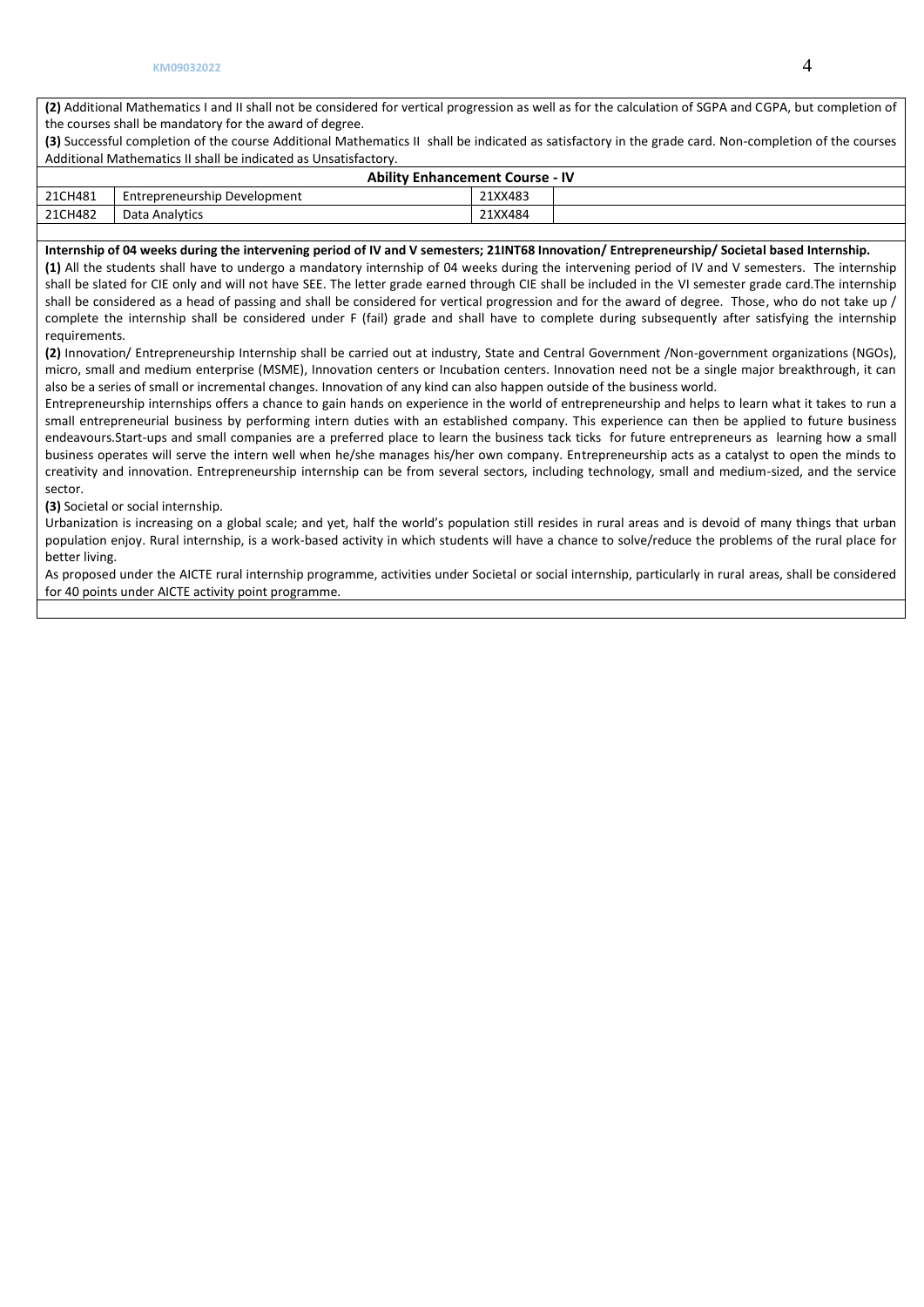**(2)** Additional Mathematics I and II shall not be considered for vertical progression as well as for the calculation of SGPA and CGPA, but completion of the courses shall be mandatory for the award of degree.

**(3)** Successful completion of the course Additional Mathematics II shall be indicated as satisfactory in the grade card. Non-completion of the courses Additional Mathematics II shall be indicated as Unsatisfactory.

|         | <b>Ability Enhancement Course - IV</b> |         |  |  |  |  |  |  |  |
|---------|----------------------------------------|---------|--|--|--|--|--|--|--|
| 21CH481 | Entrepreneurship Development           | 21XX483 |  |  |  |  |  |  |  |
| 21CH482 | Data Analytics                         | 21XX484 |  |  |  |  |  |  |  |
|         |                                        |         |  |  |  |  |  |  |  |

#### **Internship of 04 weeks during the intervening period of IV and V semesters; 21INT68 Innovation/ Entrepreneurship/ Societal based Internship.**

**(1)** All the students shall have to undergo a mandatory internship of 04 weeks during the intervening period of IV and V semesters. The internship shall be slated for CIE only and will not have SEE. The letter grade earned through CIE shall be included in the VI semester grade card.The internship shall be considered as a head of passing and shall be considered for vertical progression and for the award of degree. Those, who do not take up / complete the internship shall be considered under F (fail) grade and shall have to complete during subsequently after satisfying the internship requirements.

**(2)** Innovation/ Entrepreneurship Internship shall be carried out at industry, State and Central Government /Non-government organizations (NGOs), micro, small and medium enterprise (MSME), Innovation centers or Incubation centers. Innovation need not be a single major breakthrough, it can also be a series of small or incremental changes. Innovation of any kind can also happen outside of the business world.

Entrepreneurship internships offers a chance to gain hands on experience in the world of entrepreneurship and helps to learn what it takes to run a small entrepreneurial business by performing intern duties with an established company. This experience can then be applied to future business endeavours.Start-ups and small companies are a preferred place to learn the business tack ticks for future entrepreneurs as learning how a small business operates will serve the intern well when he/she manages his/her own company. Entrepreneurship acts as a catalyst to open the minds to creativity and innovation. Entrepreneurship internship can be from several sectors, including technology, small and medium-sized, and the service sector.

**(3)** Societal or social internship.

Urbanization is increasing on a global scale; and yet, half the world's population still resides in rural areas and is devoid of many things that urban population enjoy. Rural internship, is a work-based activity in which students will have a chance to solve/reduce the problems of the rural place for better living.

As proposed under the AICTE rural internship programme, activities under Societal or social internship, particularly in rural areas, shall be considered for 40 points under AICTE activity point programme.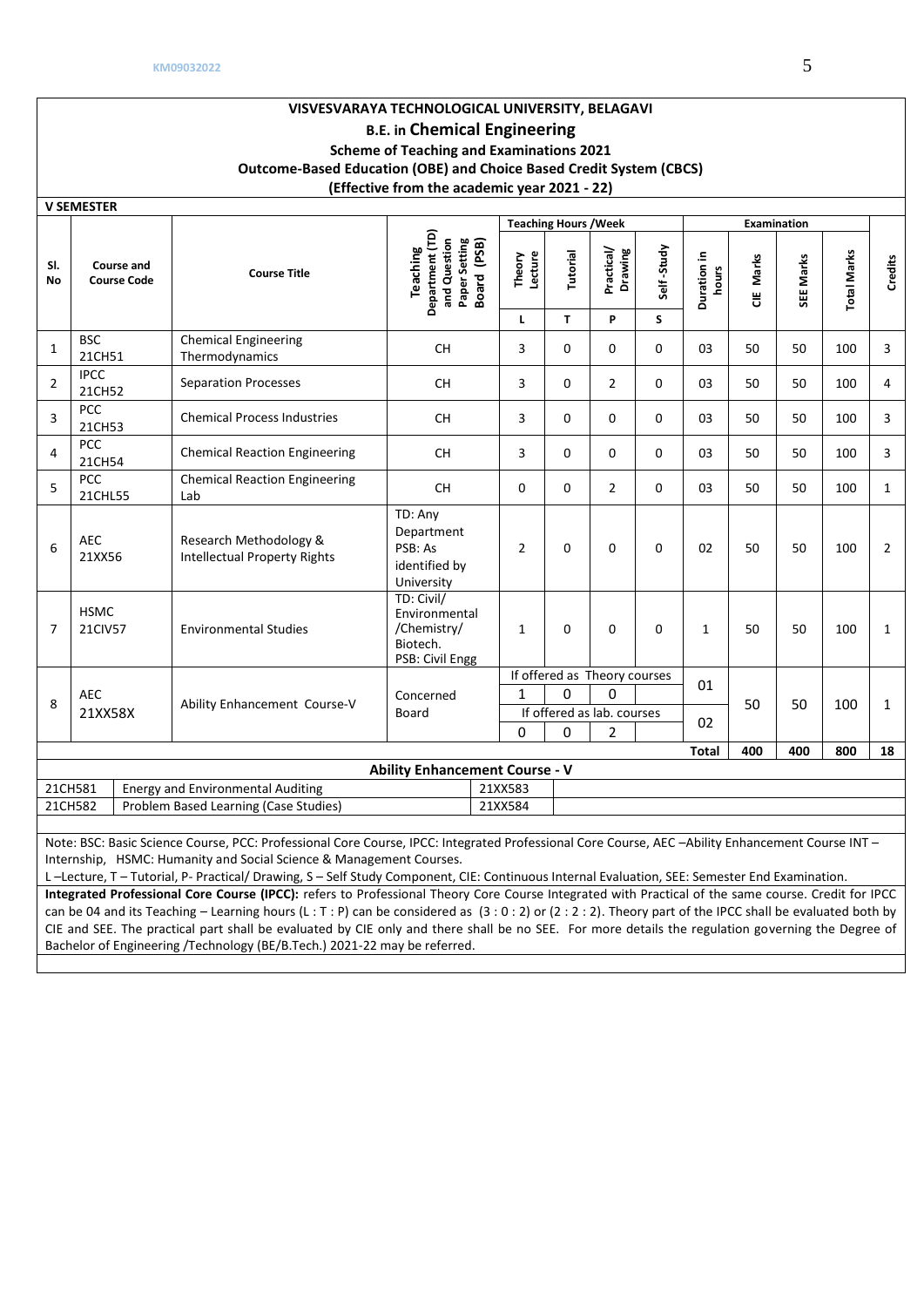|                  | <b>V SEMESTER</b>                       |                                                                                                                                                  |                                                                             |                   |                              |                              |             |                      |           |                    |                    |                |
|------------------|-----------------------------------------|--------------------------------------------------------------------------------------------------------------------------------------------------|-----------------------------------------------------------------------------|-------------------|------------------------------|------------------------------|-------------|----------------------|-----------|--------------------|--------------------|----------------|
|                  |                                         |                                                                                                                                                  |                                                                             |                   | <b>Teaching Hours / Week</b> |                              |             |                      |           | <b>Examination</b> |                    |                |
| SI.<br><b>No</b> | <b>Course and</b><br><b>Course Code</b> | <b>Course Title</b>                                                                                                                              | Department (TD)<br>and Question<br>Paper Setting<br>Board (PSB)<br>Teaching | Theory<br>Lecture | Tutorial                     | Practical/<br>Drawing        | Self-Study  | Duration in<br>hours | CIE Marks | SEE Marks          | <b>Total Marks</b> | Credits        |
|                  |                                         |                                                                                                                                                  |                                                                             | L                 | T.                           | P                            | S           |                      |           |                    |                    |                |
| 1                | <b>BSC</b><br>21CH51                    | <b>Chemical Engineering</b><br>Thermodynamics                                                                                                    | <b>CH</b>                                                                   | 3                 | $\Omega$                     | $\Omega$                     | $\Omega$    | 03                   | 50        | 50                 | 100                | 3              |
| $\overline{2}$   | <b>IPCC</b><br>21CH52                   | <b>Separation Processes</b>                                                                                                                      | <b>CH</b>                                                                   | 3                 | $\Omega$                     | $\overline{2}$               | $\Omega$    | 03                   | 50        | 50                 | 100                | $\overline{4}$ |
| 3                | <b>PCC</b><br>21CH53                    | <b>Chemical Process Industries</b>                                                                                                               | <b>CH</b>                                                                   | 3                 | $\Omega$                     | $\Omega$                     | $\Omega$    | 03                   | 50        | 50                 | 100                | 3              |
| 4                | <b>PCC</b><br>21CH54                    | <b>Chemical Reaction Engineering</b>                                                                                                             | <b>CH</b>                                                                   | 3                 | $\Omega$                     | $\Omega$                     | 0           | 03                   | 50        | 50                 | 100                | 3              |
| 5                | <b>PCC</b><br>21CHL55                   | <b>Chemical Reaction Engineering</b><br>Lab                                                                                                      | CH                                                                          | $\Omega$          | $\Omega$                     | $\overline{2}$               | $\Omega$    | 03                   | 50        | 50                 | 100                | $\mathbf{1}$   |
| 6                | <b>AEC</b><br>21XX56                    | Research Methodology &<br><b>Intellectual Property Rights</b>                                                                                    | TD: Any<br>Department<br>PSB: As<br>identified by<br>University             | $\overline{2}$    | $\Omega$                     | $\Omega$                     | $\mathbf 0$ | 02                   | 50        | 50                 | 100                | $\overline{2}$ |
| $\overline{7}$   | <b>HSMC</b><br>21CIV57                  | <b>Environmental Studies</b>                                                                                                                     | TD: Civil/<br>Environmental<br>/Chemistry/<br>Biotech.<br>PSB: Civil Engg   | $\mathbf{1}$      | $\Omega$                     | $\Omega$                     | $\Omega$    | $\mathbf{1}$         | 50        | 50                 | 100                | $\mathbf{1}$   |
|                  |                                         |                                                                                                                                                  |                                                                             |                   |                              | If offered as Theory courses |             | 01                   |           |                    |                    |                |
| 8                | <b>AEC</b>                              | Ability Enhancement Course-V                                                                                                                     | Concerned                                                                   | 1                 | 0                            | 0                            |             |                      | 50        | 50                 | 100                | $\mathbf{1}$   |
|                  | 21XX58X                                 |                                                                                                                                                  | Board                                                                       |                   |                              | If offered as lab. courses   |             | 02                   |           |                    |                    |                |
|                  |                                         |                                                                                                                                                  |                                                                             | $\Omega$          | $\Omega$                     | $\overline{2}$               |             |                      |           |                    |                    |                |
|                  |                                         |                                                                                                                                                  |                                                                             |                   |                              |                              |             | <b>Total</b>         | 400       | 400                | 800                | 18             |
|                  |                                         |                                                                                                                                                  | <b>Ability Enhancement Course - V</b>                                       |                   |                              |                              |             |                      |           |                    |                    |                |
|                  | 21CH581                                 | <b>Energy and Environmental Auditing</b>                                                                                                         |                                                                             | 21XX583           |                              |                              |             |                      |           |                    |                    |                |
|                  | 21CH582                                 | Problem Based Learning (Case Studies)                                                                                                            |                                                                             | 21XX584           |                              |                              |             |                      |           |                    |                    |                |
|                  |                                         | Note: BSC: Basic Science Course, PCC: Professional Core Course, IPCC: Integrated Professional Core Course, AFC -Ability Enhancement Course INT - |                                                                             |                   |                              |                              |             |                      |           |                    |                    |                |

Note: BSC: Basic Science Course, PCC: Professional Core Course, IPCC: Integrated Professional Core Course, AEC –Ability Enhancement Course INT – Internship, HSMC: Humanity and Social Science & Management Courses.

L –Lecture, T – Tutorial, P- Practical/ Drawing, S – Self Study Component, CIE: Continuous Internal Evaluation, SEE: Semester End Examination.

**Integrated Professional Core Course (IPCC):** refers to Professional Theory Core Course Integrated with Practical of the same course. Credit for IPCC can be 04 and its Teaching – Learning hours (L : T : P) can be considered as  $(3:0:2)$  or  $(2:2:2)$ . Theory part of the IPCC shall be evaluated both by CIE and SEE. The practical part shall be evaluated by CIE only and there shall be no SEE. For more details the regulation governing the Degree of Bachelor of Engineering /Technology (BE/B.Tech.) 2021-22 may be referred.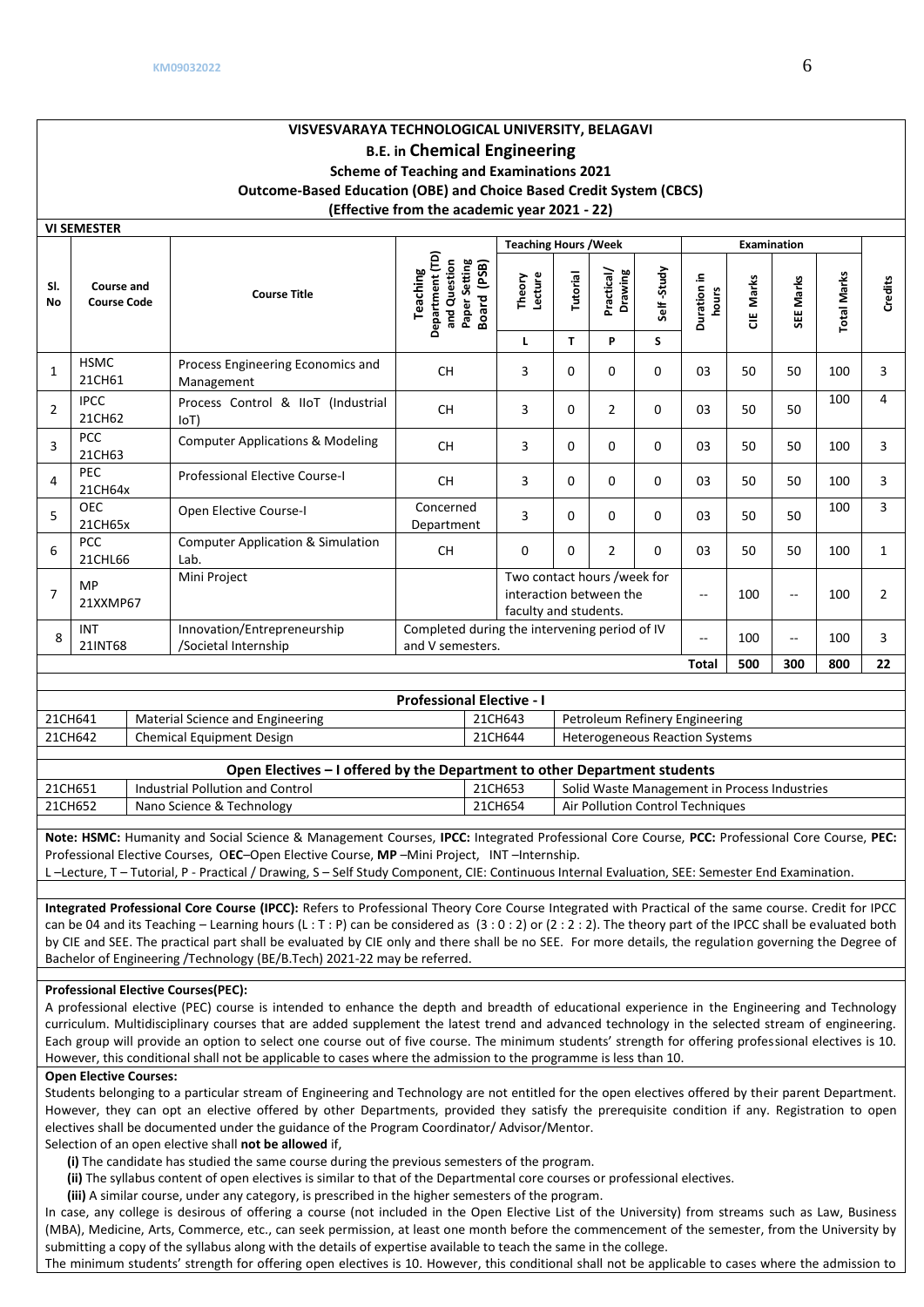|                  | <b>VI SEMESTER</b>               |                                                      |                                                                             |                                                                                 |          |                       |             |                      |            |                    |                    |         |
|------------------|----------------------------------|------------------------------------------------------|-----------------------------------------------------------------------------|---------------------------------------------------------------------------------|----------|-----------------------|-------------|----------------------|------------|--------------------|--------------------|---------|
|                  |                                  |                                                      |                                                                             | <b>Teaching Hours / Week</b>                                                    |          |                       |             |                      |            | <b>Examination</b> |                    |         |
| SI.<br><b>No</b> | Course and<br><b>Course Code</b> | <b>Course Title</b>                                  | Department (TD)<br>Paper Setting<br>Board (PSB)<br>and Question<br>Teaching | Lecture<br>Theory                                                               | Tutorial | Practical/<br>Drawing | Self-Study  | Duration in<br>hours | Marks<br>쁭 | SEE Marks          | <b>Total Marks</b> | Credits |
|                  |                                  |                                                      |                                                                             | L                                                                               | T.       | P                     | S           |                      |            |                    |                    |         |
| $\mathbf{1}$     | <b>HSMC</b><br>21CH61            | Process Engineering Economics and<br>Management      | <b>CH</b>                                                                   | 3                                                                               | $\Omega$ | $\Omega$              | $\Omega$    | 03                   | 50         | 50                 | 100                | 3       |
| $\overline{2}$   | <b>IPCC</b><br>21CH62            | Process Control & IIoT (Industrial<br> O(T)          | <b>CH</b>                                                                   | 3                                                                               | $\Omega$ | $\overline{2}$        | $\mathbf 0$ | 03                   | 50         | 50                 | 100                | 4       |
| $\overline{3}$   | <b>PCC</b><br>21CH63             | <b>Computer Applications &amp; Modeling</b>          | <b>CH</b>                                                                   | 3                                                                               | $\Omega$ | $\Omega$              | $\mathbf 0$ | 03                   | 50         | 50                 | 100                | 3       |
| 4                | <b>PEC</b><br>21CH64x            | <b>Professional Elective Course-I</b>                | <b>CH</b>                                                                   | 3                                                                               | 0        | $\Omega$              | $\Omega$    | 03                   | 50         | 50                 | 100                | 3       |
| 5                | <b>OEC</b><br>21CH65x            | Open Elective Course-I                               | Concerned<br>Department                                                     | 3                                                                               | $\Omega$ | $\Omega$              | $\Omega$    | 03                   | 50         | 50                 | 100                | 3       |
| 6                | <b>PCC</b><br>21CHL66            | <b>Computer Application &amp; Simulation</b><br>Lab. | <b>CH</b>                                                                   | $\Omega$                                                                        | $\Omega$ | $\overline{2}$        | $\Omega$    | 03                   | 50         | 50                 | 100                | 1       |
| $\overline{7}$   | <b>MP</b><br>21XXMP67            | Mini Project                                         |                                                                             | Two contact hours /week for<br>interaction between the<br>faculty and students. |          |                       |             |                      | 100        | $-$                | 100                | 2       |
| 8                | <b>INT</b><br>21INT68            | Innovation/Entrepreneurship<br>/Societal Internship  | Completed during the intervening period of IV<br>and V semesters.           |                                                                                 |          |                       |             | $-$                  | 100        | $- -$              | 100                | 3       |
|                  |                                  |                                                      |                                                                             |                                                                                 |          |                       |             | <b>Total</b>         | 500        | 300                | 800                | 22      |

|         | <b>Professional Elective - I</b> |         |                                       |  |  |  |  |  |  |  |  |
|---------|----------------------------------|---------|---------------------------------------|--|--|--|--|--|--|--|--|
| 21CH641 | Material Science and Engineering | 21CH643 | Petroleum Refinery Engineering        |  |  |  |  |  |  |  |  |
| 21CH642 | Chemical Equipment Design        | 21CH644 | <b>Heterogeneous Reaction Systems</b> |  |  |  |  |  |  |  |  |

|         | Open Electives – I offered by the Department to other Department students |         |                                              |  |  |  |  |  |  |  |  |
|---------|---------------------------------------------------------------------------|---------|----------------------------------------------|--|--|--|--|--|--|--|--|
| 21CH651 | Industrial Pollution and Control                                          | 21CH653 | Solid Waste Management in Process Industries |  |  |  |  |  |  |  |  |
| 21CH652 | Nano Science & Technology                                                 | 21CH654 | Air Pollution Control Techniques             |  |  |  |  |  |  |  |  |

**Note: HSMC:** Humanity and Social Science & Management Courses, **IPCC:** Integrated Professional Core Course, **PCC:** Professional Core Course, **PEC:** Professional Elective Courses, O**EC**–Open Elective Course, **MP** –Mini Project, INT –Internship.

L –Lecture, T – Tutorial, P - Practical / Drawing, S – Self Study Component, CIE: Continuous Internal Evaluation, SEE: Semester End Examination.

**Integrated Professional Core Course (IPCC):** Refers to Professional Theory Core Course Integrated with Practical of the same course. Credit for IPCC can be 04 and its Teaching – Learning hours (L : T : P) can be considered as (3 : 0 : 2) or (2 : 2 : 2). The theory part of the IPCC shall be evaluated both by CIE and SEE. The practical part shall be evaluated by CIE only and there shall be no SEE. For more details, the regulation governing the Degree of Bachelor of Engineering /Technology (BE/B.Tech) 2021-22 may be referred.

## **Professional Elective Courses(PEC):**

A professional elective (PEC) course is intended to enhance the depth and breadth of educational experience in the Engineering and Technology curriculum. Multidisciplinary courses that are added supplement the latest trend and advanced technology in the selected stream of engineering. Each group will provide an option to select one course out of five course. The minimum students' strength for offering professional electives is 10. However, this conditional shall not be applicable to cases where the admission to the programme is less than 10.

#### **Open Elective Courses:**

Students belonging to a particular stream of Engineering and Technology are not entitled for the open electives offered by their parent Department. However, they can opt an elective offered by other Departments, provided they satisfy the prerequisite condition if any. Registration to open electives shall be documented under the guidance of the Program Coordinator/ Advisor/Mentor.

Selection of an open elective shall **not be allowed** if,

- **(i)** The candidate has studied the same course during the previous semesters of the program.
- **(ii)** The syllabus content of open electives is similar to that of the Departmental core courses or professional electives.
- **(iii)** A similar course, under any category, is prescribed in the higher semesters of the program.

In case, any college is desirous of offering a course (not included in the Open Elective List of the University) from streams such as Law, Business (MBA), Medicine, Arts, Commerce, etc., can seek permission, at least one month before the commencement of the semester, from the University by submitting a copy of the syllabus along with the details of expertise available to teach the same in the college.

The minimum students' strength for offering open electives is 10. However, this conditional shall not be applicable to cases where the admission to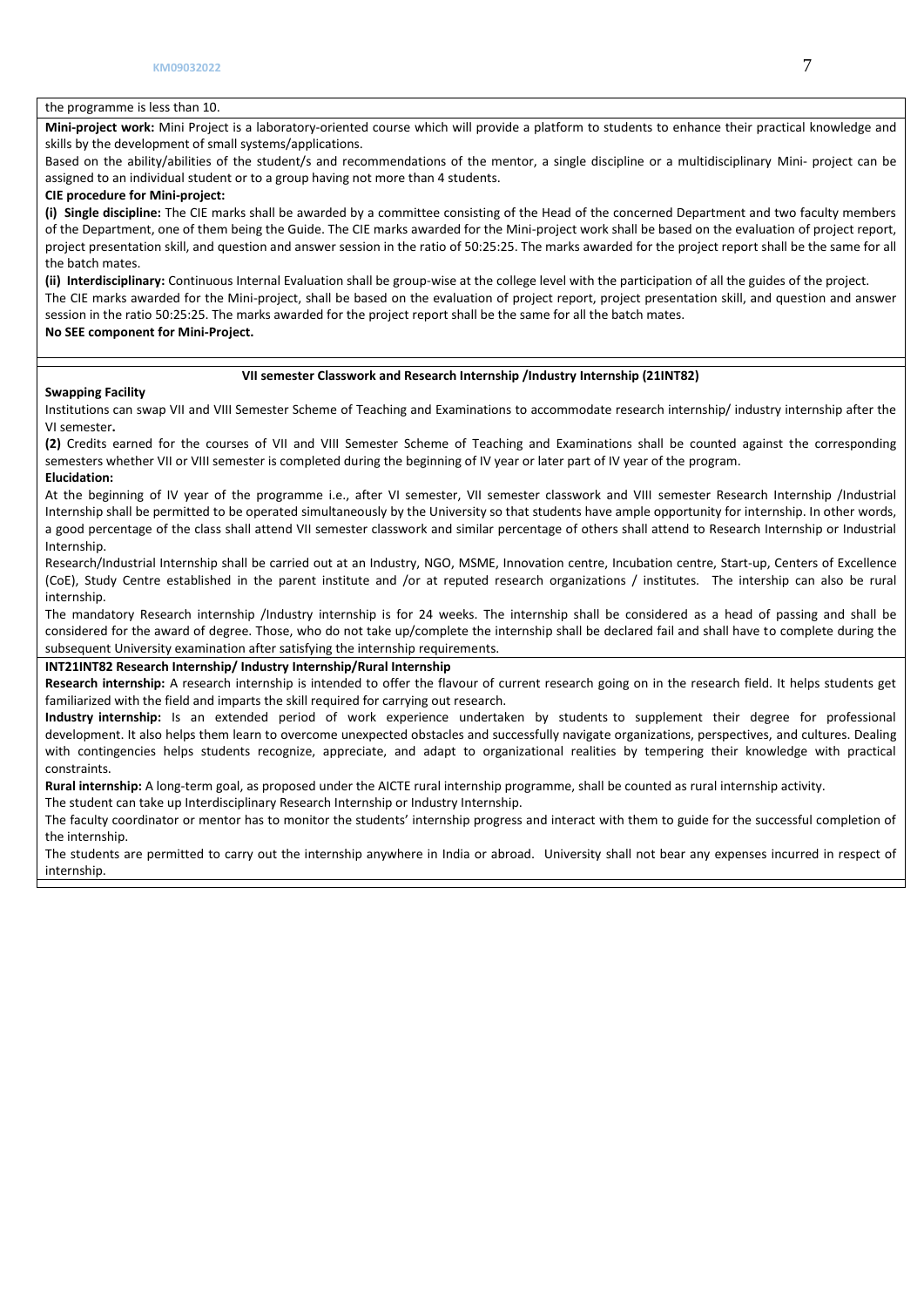## the programme is less than 10.

**Mini-project work:** Mini Project is a laboratory-oriented course which will provide a platform to students to enhance their practical knowledge and skills by the development of small systems/applications.

Based on the ability/abilities of the student/s and recommendations of the mentor, a single discipline or a multidisciplinary Mini- project can be assigned to an individual student or to a group having not more than 4 students.

## **CIE procedure for Mini-project:**

**(i) Single discipline:** The CIE marks shall be awarded by a committee consisting of the Head of the concerned Department and two faculty members of the Department, one of them being the Guide. The CIE marks awarded for the Mini-project work shall be based on the evaluation of project report, project presentation skill, and question and answer session in the ratio of 50:25:25. The marks awarded for the project report shall be the same for all the batch mates.

**(ii) Interdisciplinary:** Continuous Internal Evaluation shall be group-wise at the college level with the participation of all the guides of the project. The CIE marks awarded for the Mini-project, shall be based on the evaluation of project report, project presentation skill, and question and answer session in the ratio 50:25:25. The marks awarded for the project report shall be the same for all the batch mates. **No SEE component for Mini-Project.**

#### **VII semester Classwork and Research Internship /Industry Internship (21INT82)**

#### **Swapping Facility**

Institutions can swap VII and VIII Semester Scheme of Teaching and Examinations to accommodate research internship/ industry internship after the VI semester**.** 

**(2)** Credits earned for the courses of VII and VIII Semester Scheme of Teaching and Examinations shall be counted against the corresponding semesters whether VII or VIII semester is completed during the beginning of IV year or later part of IV year of the program.

#### **Elucidation:**

At the beginning of IV year of the programme i.e., after VI semester, VII semester classwork and VIII semester Research Internship /Industrial Internship shall be permitted to be operated simultaneously by the University so that students have ample opportunity for internship. In other words, a good percentage of the class shall attend VII semester classwork and similar percentage of others shall attend to Research Internship or Industrial Internship.

Research/Industrial Internship shall be carried out at an Industry, NGO, MSME, Innovation centre, Incubation centre, Start-up, Centers of Excellence (CoE), Study Centre established in the parent institute and /or at reputed research organizations / institutes. The intership can also be rural internship.

The mandatory Research internship /Industry internship is for 24 weeks. The internship shall be considered as a head of passing and shall be considered for the award of degree. Those, who do not take up/complete the internship shall be declared fail and shall have to complete during the subsequent University examination after satisfying the internship requirements.

## **INT21INT82 Research Internship/ Industry Internship/Rural Internship**

**Research internship:** A research internship is intended to offer the flavour of current research going on in the research field. It helps students get familiarized with the field and imparts the skill required for carrying out research.

**Industry internship:** Is an extended period of work experience undertaken by students to supplement their degree for professional development. It also helps them learn to overcome unexpected obstacles and successfully navigate organizations, perspectives, and cultures. Dealing with contingencies helps students recognize, appreciate, and adapt to organizational realities by tempering their knowledge with practical constraints.

**Rural internship:** A long-term goal, as proposed under the AICTE rural internship programme, shall be counted as rural internship activity.

The student can take up Interdisciplinary Research Internship or Industry Internship.

The faculty coordinator or mentor has to monitor the students' internship progress and interact with them to guide for the successful completion of the internship.

The students are permitted to carry out the internship anywhere in India or abroad. University shall not bear any expenses incurred in respect of internship.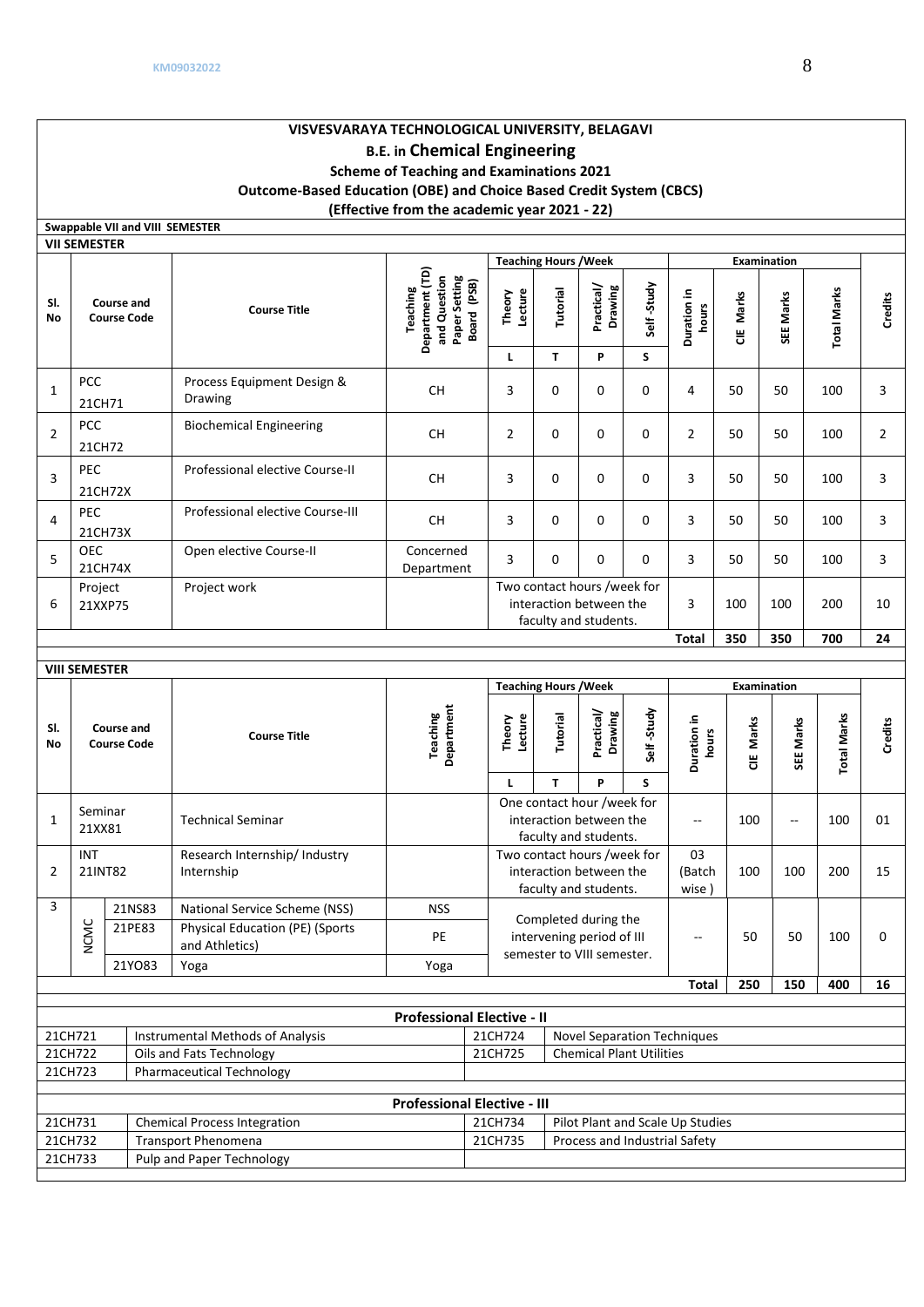21CH733 Pulp and Paper Technology

# **VISVESVARAYA TECHNOLOGICAL UNIVERSITY, BELAGAVI B.E. in Chemical Engineering Scheme of Teaching and Examinations 2021 Outcome-Based Education (OBE) and Choice Based Credit System (CBCS) (Effective from the academic year 2021 - 22)**

|                                                                                         | Swappable VII and VIII SEMESTER                    |        |                                                          |                                                                                    |                                   |                                                                                 |                                                                                 |                 |                                    |           |                                 |                    |                |
|-----------------------------------------------------------------------------------------|----------------------------------------------------|--------|----------------------------------------------------------|------------------------------------------------------------------------------------|-----------------------------------|---------------------------------------------------------------------------------|---------------------------------------------------------------------------------|-----------------|------------------------------------|-----------|---------------------------------|--------------------|----------------|
|                                                                                         | <b>VII SEMESTER</b>                                |        |                                                          |                                                                                    |                                   |                                                                                 |                                                                                 |                 |                                    |           |                                 |                    |                |
| SI.<br>No                                                                               | Course and<br><b>Course Code</b>                   |        | <b>Course Title</b>                                      | Department (TD)<br>and Question<br>Paper Setting<br>Board (PSB)<br><b>Teaching</b> | Lecture<br>Theory                 | <b>Teaching Hours / Week</b><br>Tutorial                                        | Practical/<br>Drawing                                                           | Self-Study      | Duration in<br>hours               | CIE Marks | <b>Examination</b><br>SEE Marks | <b>Total Marks</b> | Credits        |
|                                                                                         | <b>PCC</b>                                         |        | Process Equipment Design &                               |                                                                                    | г                                 | T.                                                                              | P                                                                               | S               |                                    |           |                                 |                    |                |
| 1                                                                                       | 21CH71                                             |        | Drawing                                                  | <b>CH</b>                                                                          | 3                                 | 0                                                                               | $\mathbf 0$                                                                     | 0               | 4                                  | 50        | 50                              | 100                | 3              |
| $\overline{2}$                                                                          | <b>PCC</b><br>21CH72                               |        | <b>Biochemical Engineering</b>                           | <b>CH</b>                                                                          | $\overline{2}$                    | 0                                                                               | $\Omega$                                                                        | 0               | $\overline{2}$                     | 50        | 50                              | 100                | $\overline{2}$ |
| 3                                                                                       | <b>PEC</b><br>21CH72X                              |        | Professional elective Course-II                          | <b>CH</b>                                                                          | 3                                 | 0                                                                               | $\mathbf{0}$                                                                    | 0               | 3                                  | 50        | 50                              | 100                | 3              |
| 4                                                                                       | <b>PEC</b><br>21CH73X                              |        | Professional elective Course-III                         | CH.                                                                                | 3                                 | 0                                                                               | $\mathbf 0$                                                                     | 0               | 3                                  | 50        | 50                              | 100                | 3              |
| 5                                                                                       | OEC<br>21CH74X                                     |        | Open elective Course-II                                  | Concerned<br>Department                                                            | 3                                 | $\Omega$                                                                        | $\mathbf 0$                                                                     | 0               | 3                                  | 50        | 50                              | 100                | 3              |
| 6                                                                                       | Project<br>21XXP75                                 |        | Project work                                             |                                                                                    |                                   | Two contact hours /week for<br>interaction between the<br>faculty and students. |                                                                                 | 3               | 100                                | 100       | 200                             | 10                 |                |
|                                                                                         |                                                    |        |                                                          |                                                                                    | <b>Total</b>                      | 350                                                                             | 350                                                                             | 700             | 24                                 |           |                                 |                    |                |
|                                                                                         | <b>VIII SEMESTER</b>                               |        |                                                          |                                                                                    |                                   |                                                                                 |                                                                                 |                 |                                    |           |                                 |                    |                |
|                                                                                         | <b>Examination</b><br><b>Teaching Hours / Week</b> |        |                                                          |                                                                                    |                                   |                                                                                 |                                                                                 |                 |                                    |           |                                 |                    |                |
| SI.<br>No                                                                               | <b>Course and</b><br><b>Course Code</b>            |        | <b>Course Title</b>                                      | Department<br><b>Teaching</b>                                                      | Lecture<br>Theory<br>$\mathbf{L}$ | Tutorial<br>T.                                                                  | Practical/<br>Drawing<br>P                                                      | Self-Study<br>S | Duration in<br>hours               | CIE Marks | SEE Marks                       | <b>Total Marks</b> | <b>Credits</b> |
| 1                                                                                       | Seminar                                            |        | <b>Technical Seminar</b>                                 |                                                                                    |                                   |                                                                                 | One contact hour /week for<br>interaction between the                           |                 | $-$                                | 100       | $\overline{\phantom{a}}$        | 100                | 01             |
|                                                                                         | 21XX81                                             |        |                                                          |                                                                                    |                                   |                                                                                 | faculty and students.                                                           |                 |                                    |           |                                 |                    |                |
| 2                                                                                       | <b>INT</b><br>21INT82                              |        | Research Internship/ Industry<br>Internship              |                                                                                    |                                   |                                                                                 | Two contact hours /week for<br>interaction between the<br>faculty and students. |                 | 03<br>(Batch<br>wise)              | 100       | 100                             | 200                | 15             |
| 3                                                                                       |                                                    | 21NS83 | National Service Scheme (NSS)                            | <b>NSS</b>                                                                         |                                   |                                                                                 |                                                                                 |                 |                                    |           |                                 |                    |                |
|                                                                                         | <b>NCMC</b>                                        | 21PE83 | <b>Physical Education (PE) (Sports</b><br>and Athletics) | PE                                                                                 |                                   |                                                                                 | Completed during the<br>intervening period of III                               |                 |                                    | 50        | 50                              | 100                | 0              |
|                                                                                         |                                                    | 21YO83 | Yoga                                                     | semester to VIII semester.<br>Yoga                                                 |                                   |                                                                                 |                                                                                 |                 |                                    |           |                                 |                    |                |
|                                                                                         |                                                    |        |                                                          |                                                                                    |                                   | Total                                                                           | 250                                                                             | 150             | 400                                | 16        |                                 |                    |                |
|                                                                                         |                                                    |        |                                                          | <b>Professional Elective - II</b>                                                  |                                   |                                                                                 |                                                                                 |                 |                                    |           |                                 |                    |                |
|                                                                                         | 21CH721                                            |        | <b>Instrumental Methods of Analysis</b>                  |                                                                                    | 21CH724                           |                                                                                 |                                                                                 |                 | <b>Novel Separation Techniques</b> |           |                                 |                    |                |
|                                                                                         | 21CH722                                            |        | Oils and Fats Technology                                 |                                                                                    | 21CH725                           |                                                                                 | <b>Chemical Plant Utilities</b>                                                 |                 |                                    |           |                                 |                    |                |
|                                                                                         | 21CH723                                            |        | <b>Pharmaceutical Technology</b>                         |                                                                                    |                                   |                                                                                 |                                                                                 |                 |                                    |           |                                 |                    |                |
|                                                                                         |                                                    |        |                                                          | <b>Professional Elective - III</b>                                                 |                                   |                                                                                 |                                                                                 |                 |                                    |           |                                 |                    |                |
|                                                                                         |                                                    |        |                                                          |                                                                                    |                                   |                                                                                 |                                                                                 |                 |                                    |           |                                 |                    |                |
| 21CH731<br><b>Chemical Process Integration</b><br>21CH732<br><b>Transport Phenomena</b> |                                                    |        |                                                          |                                                                                    | 21CH734                           |                                                                                 |                                                                                 |                 | Pilot Plant and Scale Up Studies   |           |                                 |                    |                |